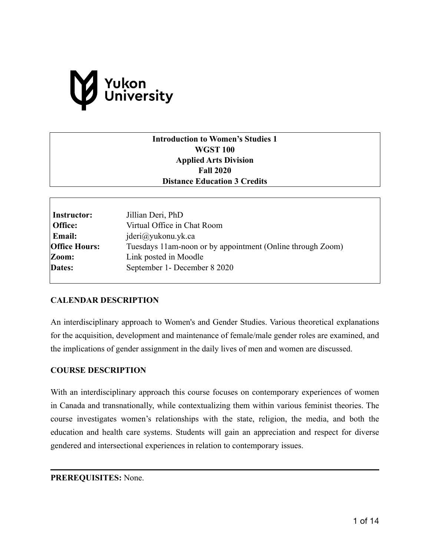# Yukon<br>University

# **Introduction to Women's Studies 1 WGST 100 Applied Arts Division Fall 2020 Distance Education 3 Credits**

| Instructor:<br>Office: | Jillian Deri, PhD<br>Virtual Office in Chat Room           |  |
|------------------------|------------------------------------------------------------|--|
| <b>Email:</b>          | $j$ deri $@y$ ukonu.yk.ca                                  |  |
| <b>Office Hours:</b>   | Tuesdays 11am-noon or by appointment (Online through Zoom) |  |
| Zoom:                  | Link posted in Moodle                                      |  |
| Dates:                 | September 1 - December 8 2020                              |  |

# **CALENDAR DESCRIPTION**

An interdisciplinary approach to Women's and Gender Studies. Various theoretical explanations for the acquisition, development and maintenance of female/male gender roles are examined, and the implications of gender assignment in the daily lives of men and women are discussed.

## **COURSE DESCRIPTION**

With an interdisciplinary approach this course focuses on contemporary experiences of women in Canada and transnationally, while contextualizing them within various feminist theories. The course investigates women's relationships with the state, religion, the media, and both the education and health care systems. Students will gain an appreciation and respect for diverse gendered and intersectional experiences in relation to contemporary issues.

## **PREREQUISITES:** None.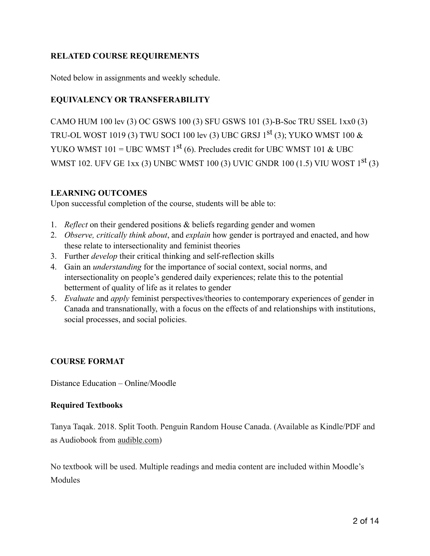# **RELATED COURSE REQUIREMENTS**

Noted below in assignments and weekly schedule.

# **EQUIVALENCY OR TRANSFERABILITY**

CAMO HUM 100 lev (3) OC GSWS 100 (3) SFU GSWS 101 (3)-B-Soc TRU SSEL 1xx0 (3) TRU-OL WOST 1019 (3) TWU SOCI 100 lev (3) UBC GRSJ  $1<sup>st</sup>$  (3); YUKO WMST 100  $\&$ YUKO WMST 101 = UBC WMST  $1^{st}$  (6). Precludes credit for UBC WMST 101 & UBC WMST 102. UFV GE 1xx (3) UNBC WMST 100 (3) UVIC GNDR 100 (1.5) VIU WOST 1st (3)

# **LEARNING OUTCOMES**

Upon successful completion of the course, students will be able to:

- 1. *Reflect* on their gendered positions & beliefs regarding gender and women
- 2. *Observe, critically think about*, and *explain* how gender is portrayed and enacted, and how these relate to intersectionality and feminist theories
- 3. Further *develop* their critical thinking and self-reflection skills
- 4. Gain an *understanding* for the importance of social context, social norms, and intersectionality on people's gendered daily experiences; relate this to the potential betterment of quality of life as it relates to gender
- 5. *Evaluate* and *apply* feminist perspectives/theories to contemporary experiences of gender in Canada and transnationally, with a focus on the effects of and relationships with institutions, social processes, and social policies.

# **COURSE FORMAT**

Distance Education – Online/Moodle

# **Required Textbooks**

Tanya Taqak. 2018. Split Tooth. Penguin Random House Canada. (Available as Kindle/PDF and as Audiobook from [audible.com\)](http://audible.com)

No textbook will be used. Multiple readings and media content are included within Moodle's **Modules**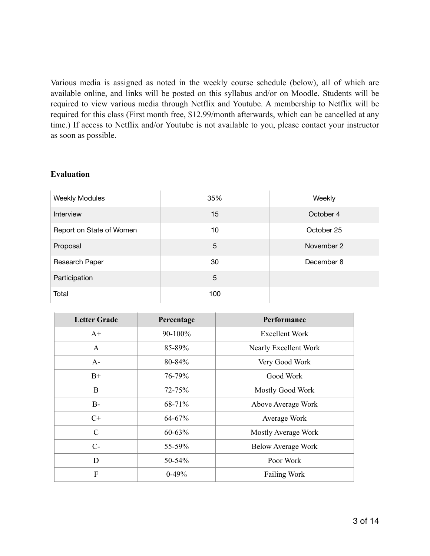Various media is assigned as noted in the weekly course schedule (below), all of which are available online, and links will be posted on this syllabus and/or on Moodle. Students will be required to view various media through Netflix and Youtube. A membership to Netflix will be required for this class (First month free, \$12.99/month afterwards, which can be cancelled at any time.) If access to Netflix and/or Youtube is not available to you, please contact your instructor as soon as possible.

## **Evaluation**

| <b>Weekly Modules</b>    | 35% | Weekly     |
|--------------------------|-----|------------|
| Interview                | 15  | October 4  |
| Report on State of Women | 10  | October 25 |
| Proposal                 | 5   | November 2 |
| Research Paper           | 30  | December 8 |
| Participation            | 5   |            |
| Total                    | 100 |            |

| <b>Letter Grade</b> | Percentage | <b>Performance</b>        |
|---------------------|------------|---------------------------|
| $A+$                | 90-100%    | <b>Excellent Work</b>     |
| $\mathbf{A}$        | 85-89%     | Nearly Excellent Work     |
| $A-$                | 80-84%     | Very Good Work            |
| $B+$                | 76-79%     | Good Work                 |
| B                   | 72-75%     | Mostly Good Work          |
| $B-$                | 68-71%     | Above Average Work        |
| $C+$                | 64-67%     | Average Work              |
| $\mathcal{C}$       | $60 - 63%$ | Mostly Average Work       |
| $C-$                | 55-59%     | <b>Below Average Work</b> |
| D                   | $50 - 54%$ | Poor Work                 |
| F                   | $0-49%$    | <b>Failing Work</b>       |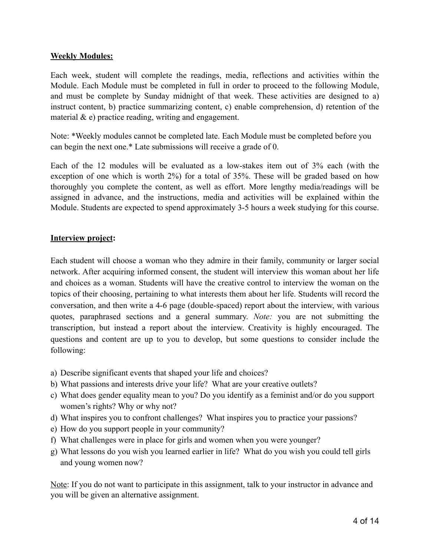# **Weekly Modules:**

Each week, student will complete the readings, media, reflections and activities within the Module. Each Module must be completed in full in order to proceed to the following Module, and must be complete by Sunday midnight of that week. These activities are designed to a) instruct content, b) practice summarizing content, c) enable comprehension, d) retention of the material  $\&$  e) practice reading, writing and engagement.

Note: \*Weekly modules cannot be completed late. Each Module must be completed before you can begin the next one.\* Late submissions will receive a grade of 0.

Each of the 12 modules will be evaluated as a low-stakes item out of 3% each (with the exception of one which is worth 2%) for a total of 35%. These will be graded based on how thoroughly you complete the content, as well as effort. More lengthy media/readings will be assigned in advance, and the instructions, media and activities will be explained within the Module. Students are expected to spend approximately 3-5 hours a week studying for this course.

## **Interview project:**

Each student will choose a woman who they admire in their family, community or larger social network. After acquiring informed consent, the student will interview this woman about her life and choices as a woman. Students will have the creative control to interview the woman on the topics of their choosing, pertaining to what interests them about her life. Students will record the conversation, and then write a 4-6 page (double-spaced) report about the interview, with various quotes, paraphrased sections and a general summary. *Note:* you are not submitting the transcription, but instead a report about the interview. Creativity is highly encouraged. The questions and content are up to you to develop, but some questions to consider include the following:

- a) Describe significant events that shaped your life and choices?
- b) What passions and interests drive your life? What are your creative outlets?
- c) What does gender equality mean to you? Do you identify as a feminist and/or do you support women's rights? Why or why not?
- d) What inspires you to confront challenges? What inspires you to practice your passions?
- e) How do you support people in your community?
- f) What challenges were in place for girls and women when you were younger?
- g) What lessons do you wish you learned earlier in life? What do you wish you could tell girls and young women now?

Note: If you do not want to participate in this assignment, talk to your instructor in advance and you will be given an alternative assignment.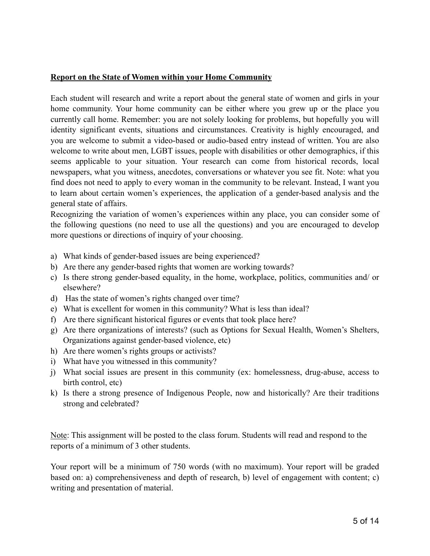# **Report on the State of Women within your Home Community**

Each student will research and write a report about the general state of women and girls in your home community. Your home community can be either where you grew up or the place you currently call home. Remember: you are not solely looking for problems, but hopefully you will identity significant events, situations and circumstances. Creativity is highly encouraged, and you are welcome to submit a video-based or audio-based entry instead of written. You are also welcome to write about men, LGBT issues, people with disabilities or other demographics, if this seems applicable to your situation. Your research can come from historical records, local newspapers, what you witness, anecdotes, conversations or whatever you see fit. Note: what you find does not need to apply to every woman in the community to be relevant. Instead, I want you to learn about certain women's experiences, the application of a gender-based analysis and the general state of affairs.

Recognizing the variation of women's experiences within any place, you can consider some of the following questions (no need to use all the questions) and you are encouraged to develop more questions or directions of inquiry of your choosing.

- a) What kinds of gender-based issues are being experienced?
- b) Are there any gender-based rights that women are working towards?
- c) Is there strong gender-based equality, in the home, workplace, politics, communities and/ or elsewhere?
- d) Has the state of women's rights changed over time?
- e) What is excellent for women in this community? What is less than ideal?
- f) Are there significant historical figures or events that took place here?
- g) Are there organizations of interests? (such as Options for Sexual Health, Women's Shelters, Organizations against gender-based violence, etc)
- h) Are there women's rights groups or activists?
- i) What have you witnessed in this community?
- j) What social issues are present in this community (ex: homelessness, drug-abuse, access to birth control, etc)
- k) Is there a strong presence of Indigenous People, now and historically? Are their traditions strong and celebrated?

Note: This assignment will be posted to the class forum. Students will read and respond to the reports of a minimum of 3 other students.

Your report will be a minimum of 750 words (with no maximum). Your report will be graded based on: a) comprehensiveness and depth of research, b) level of engagement with content; c) writing and presentation of material.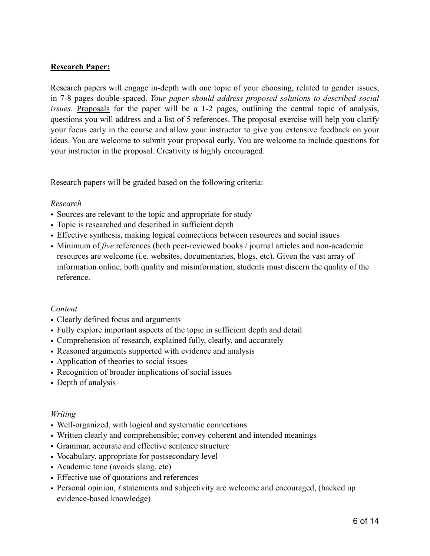# **Research Paper:**

Research papers will engage in-depth with one topic of your choosing, related to gender issues, in 7-8 pages double-spaced. *Your paper should address proposed solutions to described social issues.* Proposals for the paper will be a 1-2 pages, outlining the central topic of analysis, questions you will address and a list of 5 references. The proposal exercise will help you clarify your focus early in the course and allow your instructor to give you extensive feedback on your ideas. You are welcome to submit your proposal early. You are welcome to include questions for your instructor in the proposal. Creativity is highly encouraged.

Research papers will be graded based on the following criteria:

## *Research*

- Sources are relevant to the topic and appropriate for study
- Topic is researched and described in sufficient depth
- Effective synthesis, making logical connections between resources and social issues
- Minimum of *five* references (both peer-reviewed books / journal articles and non-academic resources are welcome (i.e. websites, documentaries, blogs, etc). Given the vast array of information online, both quality and misinformation, students must discern the quality of the reference.

## *Content*

- Clearly defined focus and arguments
- Fully explore important aspects of the topic in sufficient depth and detail
- Comprehension of research, explained fully, clearly, and accurately
- Reasoned arguments supported with evidence and analysis
- Application of theories to social issues
- Recognition of broader implications of social issues
- Depth of analysis

## *Writing*

- Well-organized, with logical and systematic connections
- Written clearly and comprehensible; convey coherent and intended meanings
- Grammar, accurate and effective sentence structure
- Vocabulary, appropriate for postsecondary level
- Academic tone (avoids slang, etc)
- Effective use of quotations and references
- Personal opinion, *I* statements and subjectivity are welcome and encouraged, (backed up evidence-based knowledge)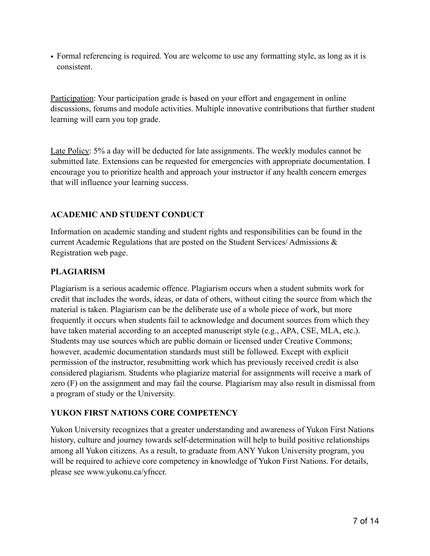• Formal referencing is required. You are welcome to use any formatting style, as long as it is consistent.

Participation: Your participation grade is based on your effort and engagement in online discussions, forums and module activities. Multiple innovative contributions that further student learning will earn you top grade.

Late Policy: 5% a day will be deducted for late assignments. The weekly modules cannot be submitted late. Extensions can be requested for emergencies with appropriate documentation. I encourage you to prioritize health and approach your instructor if any health concern emerges that will influence your learning success.

# **ACADEMIC AND STUDENT CONDUCT**

Information on academic standing and student rights and responsibilities can be found in the current Academic Regulations that are posted on the Student Services/ Admissions & Registration web page.

# **PLAGIARISM**

Plagiarism is a serious academic offence. Plagiarism occurs when a student submits work for credit that includes the words, ideas, or data of others, without citing the source from which the material is taken. Plagiarism can be the deliberate use of a whole piece of work, but more frequently it occurs when students fail to acknowledge and document sources from which they have taken material according to an accepted manuscript style (e.g., APA, CSE, MLA, etc.). Students may use sources which are public domain or licensed under Creative Commons; however, academic documentation standards must still be followed. Except with explicit permission of the instructor, resubmitting work which has previously received credit is also considered plagiarism. Students who plagiarize material for assignments will receive a mark of zero (F) on the assignment and may fail the course. Plagiarism may also result in dismissal from a program of study or the University.

# **YUKON FIRST NATIONS CORE COMPETENCY**

Yukon University recognizes that a greater understanding and awareness of Yukon First Nations history, culture and journey towards self-determination will help to build positive relationships among all Yukon citizens. As a result, to graduate from ANY Yukon University program, you will be required to achieve core competency in knowledge of Yukon First Nations. For details, please see www.yukonu.ca/yfnccr.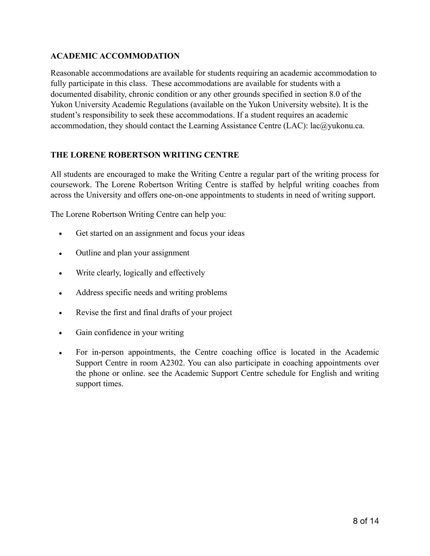# **ACADEMIC ACCOMMODATION**

Reasonable accommodations are available for students requiring an academic accommodation to fully participate in this class. These accommodations are available for students with a documented disability, chronic condition or any other grounds specified in section 8.0 of the Yukon University Academic Regulations (available on the Yukon University website). It is the student's responsibility to seek these accommodations. If a student requires an academic accommodation, they should contact the Learning Assistance Centre (LAC): lac@yukonu.ca.

# **THE LORENE ROBERTSON WRITING CENTRE**

All students are encouraged to make the Writing Centre a regular part of the writing process for coursework. The Lorene Robertson Writing Centre is staffed by helpful writing coaches from across the University and offers one-on-one appointments to students in need of writing support.

The Lorene Robertson Writing Centre can help you:

- Get started on an assignment and focus your ideas
- Outline and plan your assignment
- Write clearly, logically and effectively
- Address specific needs and writing problems
- Revise the first and final drafts of your project
- Gain confidence in your writing
- For in-person appointments, the Centre coaching office is located in the Academic Support Centre in room A2302. You can also participate in coaching appointments over the phone or online. see the Academic Support Centre schedule for English and writing support times.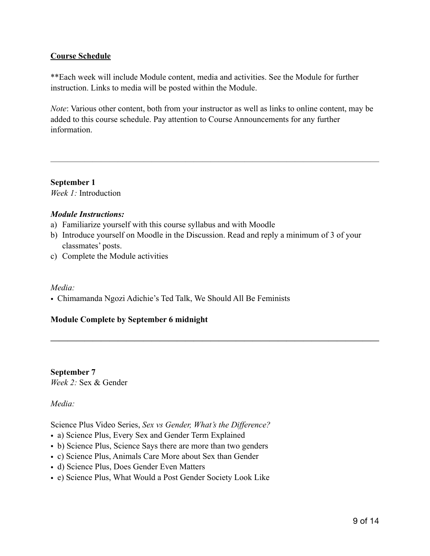# **Course Schedule**

\*\*Each week will include Module content, media and activities. See the Module for further instruction. Links to media will be posted within the Module.

*Note*: Various other content, both from your instructor as well as links to online content, may be added to this course schedule. Pay attention to Course Announcements for any further information.

———————————————————————————————————————

**September 1**  *Week 1:* Introduction

## *Module Instructions:*

- a) Familiarize yourself with this course syllabus and with Moodle
- b) Introduce yourself on Moodle in the Discussion. Read and reply a minimum of 3 of your classmates' posts.

**———————————————————————————————————————** 

c) Complete the Module activities

## *Media:*

• Chimamanda Ngozi Adichie's Ted Talk, We Should All Be Feminists

# **Module Complete by September 6 midnight**

**September 7**  *Week 2:* Sex & Gender

*Media:*

Science Plus Video Series, *Sex vs Gender, What's the Difference?*

- a) Science Plus, Every Sex and Gender Term Explained
- b) Science Plus, Science Says there are more than two genders
- c) Science Plus, Animals Care More about Sex than Gender
- d) Science Plus, Does Gender Even Matters
- e) Science Plus, What Would a Post Gender Society Look Like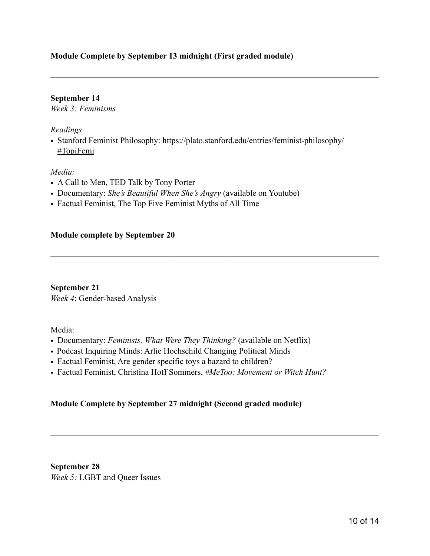# **Module Complete by September 13 midnight (First graded module)**

## **September 14**

*Week 3: Feminisms* 

## *Readings*

• Stanford Feminist Philosophy: [https://plato.stanford.edu/entries/feminist-philosophy/](https://plato.stanford.edu/entries/feminist-philosophy/#TopiFemi) [#TopiFemi](https://plato.stanford.edu/entries/feminist-philosophy/#TopiFemi)

———————————————————————————————————————

———————————————————————————————————————

———————————————————————————————————————

## *Media:*

- A Call to Men, TED Talk by Tony Porter
- Documentary: *She's Beautiful When She's Angry* (available on Youtube)
- Factual Feminist, The Top Five Feminist Myths of All Time

## **Module complete by September 20**

**September 21** *Week 4*: Gender-based Analysis

Media:

- Documentary: *Feminists, What Were They Thinking?* (available on Netflix)
- Podcast Inquiring Minds: Arlie Hochschild Changing Political Minds
- Factual Feminist, Are gender specific toys a hazard to children?
- Factual Feminist, Christina Hoff Sommers, *#MeToo: Movement or Witch Hunt?*

# **Module Complete by September 27 midnight (Second graded module)**

**September 28**  *Week 5:* LGBT and Queer Issues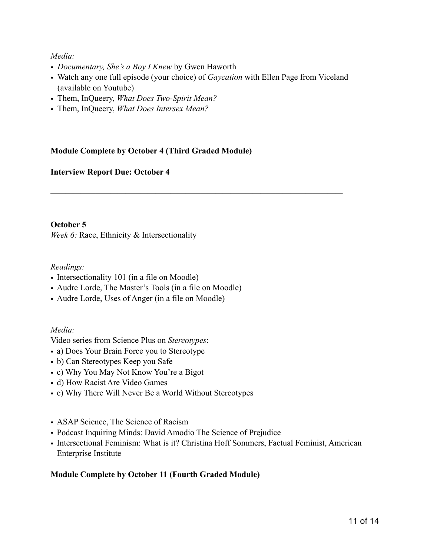# *Media:*

- *Documentary, She's a Boy I Knew* by Gwen Haworth
- Watch any one full episode (your choice) of *Gaycation* with Ellen Page from Viceland (available on Youtube)

*———————————————————————————————————————* 

- Them, InQueery, *What Does Two-Spirit Mean?*
- Them, InQueery, *What Does Intersex Mean?*

# **Module Complete by October 4 (Third Graded Module)**

# **Interview Report Due: October 4**

## **October 5**

*Week 6:* Race, Ethnicity & Intersectionality

## *Readings:*

- Intersectionality 101 (in a file on Moodle)
- Audre Lorde, The Master's Tools (in a file on Moodle)
- Audre Lorde, Uses of Anger (in a file on Moodle)

# *Media:*

Video series from Science Plus on *Stereotypes*:

- a) Does Your Brain Force you to Stereotype
- b) Can Stereotypes Keep you Safe
- c) Why You May Not Know You're a Bigot
- d) How Racist Are Video Games
- e) Why There Will Never Be a World Without Stereotypes
- ASAP Science, The Science of Racism
- Podcast Inquiring Minds: David Amodio The Science of Prejudice
- Intersectional Feminism: What is it? Christina Hoff Sommers, Factual Feminist, American Enterprise Institute

# **Module Complete by October 11 (Fourth Graded Module)**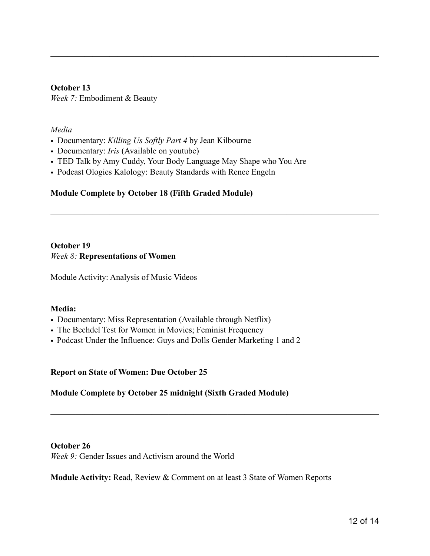**October 13**  *Week 7:* Embodiment & Beauty

## *Media*

- Documentary: *Killing Us Softly Part 4* by Jean Kilbourne
- Documentary: *Iris* (Available on youtube)
- TED Talk by Amy Cuddy, Your Body Language May Shape who You Are

———————————————————————————————————————

———————————————————————————————————————

• Podcast Ologies Kalology: Beauty Standards with Renee Engeln

## **Module Complete by October 18 (Fifth Graded Module)**

## **October 19**  *Week 8:* **Representations of Women**

Module Activity: Analysis of Music Videos

## **Media:**

- Documentary: Miss Representation (Available through Netflix)
- The Bechdel Test for Women in Movies; Feminist Frequency
- Podcast Under the Influence: Guys and Dolls Gender Marketing 1 and 2

## **Report on State of Women: Due October 25**

# **Module Complete by October 25 midnight (Sixth Graded Module)**

#### **October 26**  *Week 9:* Gender Issues and Activism around the World

**Module Activity:** Read, Review & Comment on at least 3 State of Women Reports

**———————————————————————————————————————**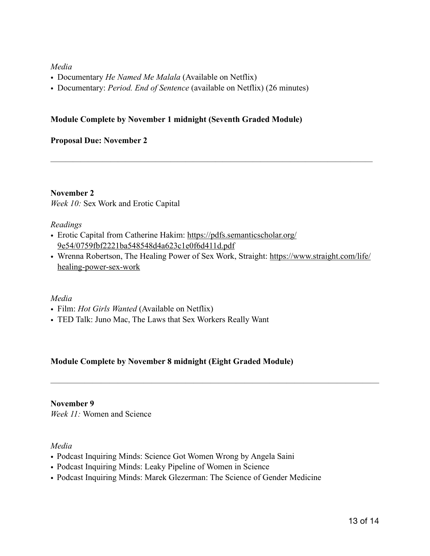# *Media*

- Documentary *He Named Me Malala* (Available on Netflix)
- Documentary: *Period. End of Sentence* (available on Netflix) (26 minutes)

## **Module Complete by November 1 midnight (Seventh Graded Module)**

## **Proposal Due: November 2**

## **November 2**

*Week 10:* Sex Work and Erotic Capital

## *Readings*

- Erotic Capital from Catherine Hakim: [https://pdfs.semanticscholar.org/](https://pdfs.semanticscholar.org/9e54/0759fbf2221ba548548d4a623c1e0f6d411d.pdf) [9e54/0759fbf2221ba548548d4a623c1e0f6d411d.pdf](https://pdfs.semanticscholar.org/9e54/0759fbf2221ba548548d4a623c1e0f6d411d.pdf)
- Wrenna Robertson, The Healing Power of Sex Work, Straight: [https://www.straight.com/life/](https://www.straight.com/life/healing-power-sex-work) [healing-power-sex-work](https://www.straight.com/life/healing-power-sex-work)

———————————————————————————————————————

*———————————————————————————————————————————* 

## *Media*

- Film: *Hot Girls Wanted* (Available on Netflix)
- TED Talk: Juno Mac, The Laws that Sex Workers Really Want

# **Module Complete by November 8 midnight (Eight Graded Module)**

## **November 9**

*Week 11:* Women and Science

## *Media*

- Podcast Inquiring Minds: Science Got Women Wrong by Angela Saini
- Podcast Inquiring Minds: Leaky Pipeline of Women in Science
- Podcast Inquiring Minds: Marek Glezerman: The Science of Gender Medicine